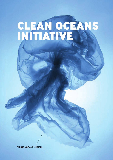# CLEAN OCEANS INITIATIVE

**THIS IS NOT A JELLYFISH.**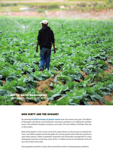

### HOW DIRTY ARE THE OCEANS?

An estimated **8 million tonnes of plastic waste** enter the oceans every year. The billions of facemasks and gloves used during the coronavirus pandemic are making the problem worse. This pollution threatens estuaries, coral reefs, fish and millions of families that rely on the oceans.

Most of the plastics in the oceans come from waste thrown on the ground or washed into rivers. Two billion people around the globe do not have good waste collection systems to catch these plastics. Better wastewater treatment and stormwater management in many developing countries would stop some of the 1.5 million tonnes of microplastics that end up in the oceans every year.

Fast population growth in many cities around the world is increasing plastic pollution.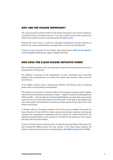#### WHY ARE THE OCEANS IMPORTANT?

The oceans provide countless benefits to the planet and people, such as food, medicines, renewable energy and natural resources. The value of goods and services produced by marine and coastal resources is estimated at **€2.5 trillion a year**.

Keeping the oceans clean is crucial for sustainable development and the reduction of poverty. The oceans provide billions of people with an income and a healthy diet.

Oceans are also important for the climate. They absorb about **30% of the planet's carbon dioxide**, buffering the impact of global warming.

#### HOW DOES THE CLEAN OCEANS INITIATIVE WORK?

We are identifying projects that can stop plastic waste from entering rivers and seas or being thrown on the ground.

The initiative is focusing on the management of waste, wastewater and stormwater globally, with a particular focus on riverine and coastal areas located in Africa, Asia and Latin America.

To be eligible, projects need to demonstrate efficient and effective ways of reducing plastic waste or the discharge of microplastics.

The initiative was launched in October 2018 by the European Investment Bank together with the French and German development banks — Agence Française de Développement (AFD) and KfW — with the objective of **financing €2 billion** in projects that reduce plastic waste by the end of 2023. We achieved more than 80% of this goal at the beginning of 2022, with projects that will benefit more than 20 million people living in Africa, Asia, Latin America and Europe.

In October 2020, the founding members of the Clean Oceans Initiative welcomed the Cassa Depositi e Prestiti (CDP), the Italian national promotional institution and financial institution for development cooperation, and the Instituto de Crédito Oficial (ICO), the Spanish promotional bank, as new partners to contribute to the protection of our oceans and seas under this joint initiative.

At the One Ocean Summit in February 2022, at which the European Bank for Reconstruction and Development (EBRD) became the sixth member of the Clean Oceans Initiative, the initiative announced it would raise its funding target to **€4 billion by the end of 2025.**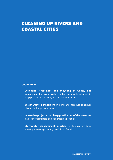# CLEANING UP RIVERS AND COASTAL CITIES

#### **OBJECTIVES**

- • **Collection, treatment and recycling of waste, and improvement of wastewater collection and treatment** to keep plastics out of rivers, oceans and coastal areas.
- • **Better waste management** in ports and harbours to reduce plastic discharge from ships.
- • **Innovative projects that keep plastics out of the oceans** or lead to more reusable or biodegradable products.
- • **Stormwater management in cities** to stop plastics from entering waterways during rainfall and floods.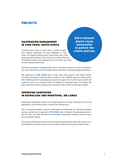# PROJECTS

## WASTEWATER MANAGEMENT IN CAPE TOWN, SOUTH AFRICA

Providing clean water to more than 4 million people and treating wastewater are big challenges in Cape Town. The ageing infrastructure cannot keep pace with rapid population growth. The coastal city in South Africa has 26 treatment plants, some dating back to the 1950s, and many of them operate inefficiently.

**Old treatment plants cause wastewater to pollute the coasts and sea.**

Untreated wastewater, including plastic waste, sometimes reaches the ocean and pollutes the coast. Wastewater runoff is a health hazard, especially in densely populated townships.

KfW approved an **€80 million** loan to help Cape Town improve and extend various municipal wastewater treatment plants as well as a **€1.2 million** grant for training and a **€4.5 million** grant for accompanying measures to support the city. The improvements will enable the city to use reclaimed water for irrigation or industrial sectors. The project will help Cape Town meet its growing water needs and make it easier to deal with droughts.

# IMPROVING SANITATION IN RATMALANA AND MORATUWA, SRI LANKA

Wastewater management needs a lot of improvement in Sri Lanka. Only about 2.5% of the population is connected to sewers, mostly in the Colombo area.

AFD is improving sanitation services in Ratmalana and Moratuwa, two densely populated, growing coastal areas. It approved a **€75 million** loan to improve the sewerage systems in the two cities. This work will allow 44 500 people to have better sanitation services, with a focus on gender equality.

The project will increase the area served by water treatment plants, which will cut down on a lot of pollution and prevent large volumes of plastic waste from entering the Indian Ocean.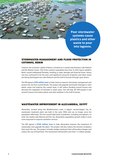**Poor stormwater systems cause plastics and other waste to pour into lagoons.**

#### STORMWATER MANAGEMENT AND FLOOD PROTECTION IN COTONOU, BENIN

Cotonou, the economic capital of Benin, is located on a coastal strip between Lake Nokoué and the Atlantic Ocean. 10% of the country's population lives here. In 2010, heavy rainfall in Benin caused widespread flooding, resulting in major damage and financial losses. Heavy rain has continued to hit the area, and significant amounts of plastics and other waste are being discharged into Lake Nokoué and the Gulf of Guinea through open drains.

The EIB signed a **€50 million loan** to help Cotonou improve stormwater management and protect the city from cyclical floods. The project will upgrade stormwater drainage to catch plastic waste and improve the coastal areas. It will reduce flooding around houses and decrease the stagnation of rainwater in urban areas. This will help 187 000 people in and around Cotonou and reduce plastic and other pollution in the Gulf of Guinea.

#### WASTEWATER IMPROVEMENT IN ALEXANDRIA, EGYPT

Alexandria, located along the Mediterranean coast, is Egypt's second-largest city. Its wastewater treatment plant was built in the early 1990s and can no longer serve the population effectively. This has caused high levels of pollution, including microplastics, to enter the nearby Lake Mariout and the sea. Alexandria's population growth makes it even more important to improve sanitation services.

The EIB signed a **€120 million loan** to help Alexandria improve the treatment of wastewater and upgrade the plant. The project will also reduce the amount of plastics that reach the sea. The project includes sludge treatment that will produce biogas and reduce the use of fossil fuels. The investment will benefit more than 1.5 million people.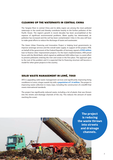#### CLEANING UP THE WATERWAYS IN CENTRAL CHINA

The Yangtze River in central China and its delta region are among the most polluted waterways in the world and thereby contribute heavily to the further pollution of the Pacific Ocean. The region's growth in recent decades has been accomplished at the expense of significant environmental problems. Water quality has deteriorated, air pollution has increased and the soil has been contaminated. Cities in the area will have to make great efforts to reduce the discharge of waste and wastewater.

The Green Urban Financing and Innovation Project is helping local governments to improve sewerage services and the overall water supply. In support of this project, KfW, on behalf of the government of the Federal Republic of Germany, signed a **€150 million**  loan to finance cities' improvement projects. For the loan's implementation, KfW joined forces with the World Bank, which signed an additional \$200 million loan, in a joint effort to prevent pollutants entering the river and ocean in the first place. This approach gets to the root of the problem and it is expected that its financing structure will become a model for other green projects in the country.

# SOLID WASTE MANAGEMENT IN LOMÉ, TOGO

AFD is upgrading solid waste management services and significantly improving living conditions in Lomé, a large coastal city with a **population of 1.4 million**. The project is improving waste collection in many ways, including the construction of a landfill that meets international standards.

The project has significantly reduced waste, including a lot of plastic that was thrown into the streets and drainage channels of the city. This reduces the amount of waste reaching the ocean.

> **The project is reducing the waste thrown into streets and drainage channels.**